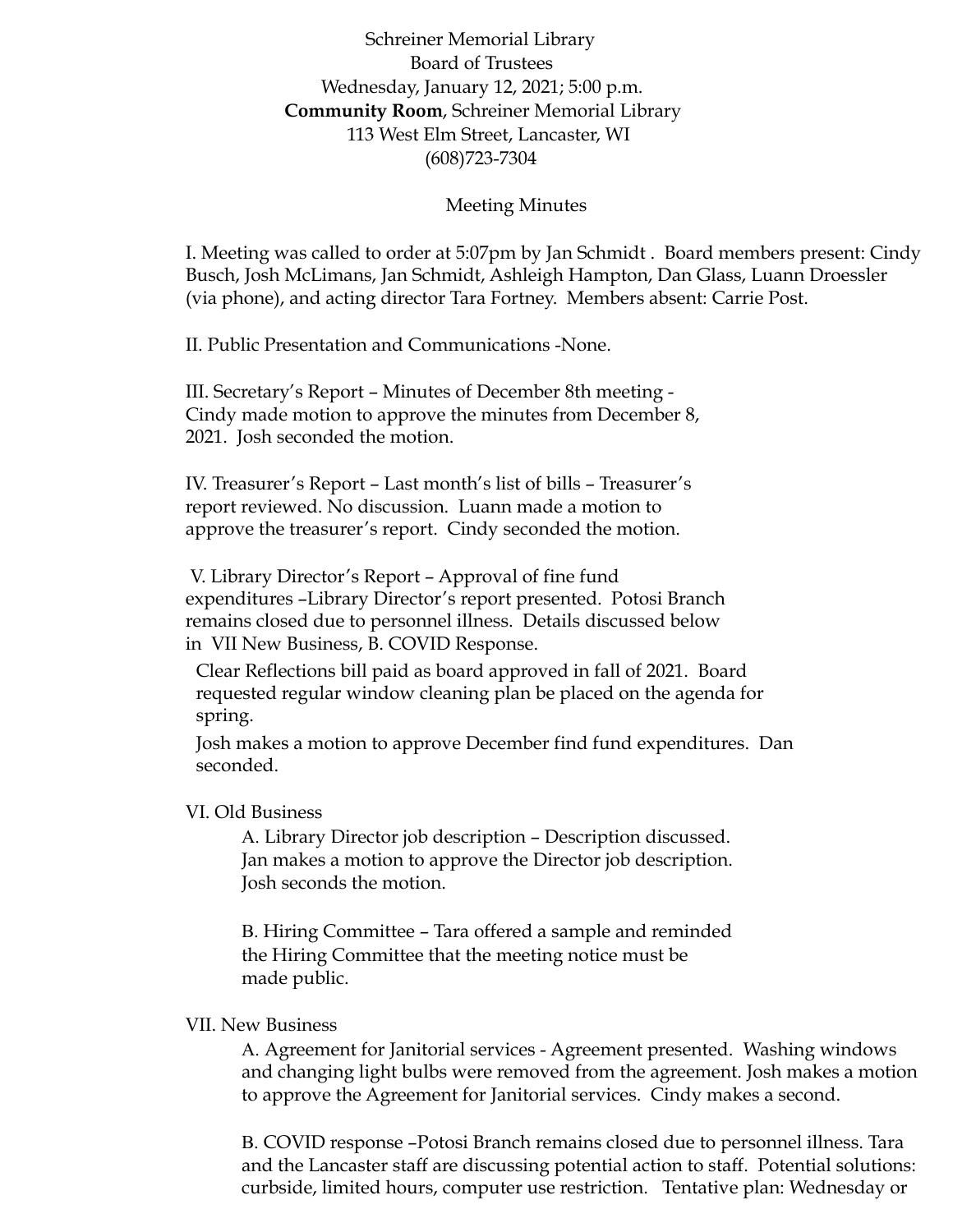Schreiner Memorial Library Board of Trustees Wednesday, January 12, 2021; 5:00 p.m. **Community Room**, Schreiner Memorial Library 113 West Elm Street, Lancaster, WI (608)723-7304

## Meeting Minutes

I. Meeting was called to order at 5:07pm by Jan Schmidt . Board members present: Cindy Busch, Josh McLimans, Jan Schmidt, Ashleigh Hampton, Dan Glass, Luann Droessler (via phone), and acting director Tara Fortney. Members absent: Carrie Post.

II. Public Presentation and Communications -None.

III. Secretary's Report – Minutes of December 8th meeting - Cindy made motion to approve the minutes from December 8, 2021. Josh seconded the motion.

IV. Treasurer's Report – Last month's list of bills – Treasurer's report reviewed. No discussion. Luann made a motion to approve the treasurer's report. Cindy seconded the motion.

V. Library Director's Report – Approval of fine fund expenditures –Library Director's report presented. Potosi Branch remains closed due to personnel illness. Details discussed below in VII New Business, B. COVID Response.

Clear Reflections bill paid as board approved in fall of 2021. Board requested regular window cleaning plan be placed on the agenda for spring.

Josh makes a motion to approve December find fund expenditures. Dan seconded.

## VI. Old Business

A. Library Director job description – Description discussed. Jan makes a motion to approve the Director job description. Josh seconds the motion.

B. Hiring Committee – Tara offered a sample and reminded the Hiring Committee that the meeting notice must be made public.

## VII. New Business

A. Agreement for Janitorial services - Agreement presented. Washing windows and changing light bulbs were removed from the agreement. Josh makes a motion to approve the Agreement for Janitorial services. Cindy makes a second.

B. COVID response –Potosi Branch remains closed due to personnel illness. Tara and the Lancaster staff are discussing potential action to staff. Potential solutions: curbside, limited hours, computer use restriction. Tentative plan: Wednesday or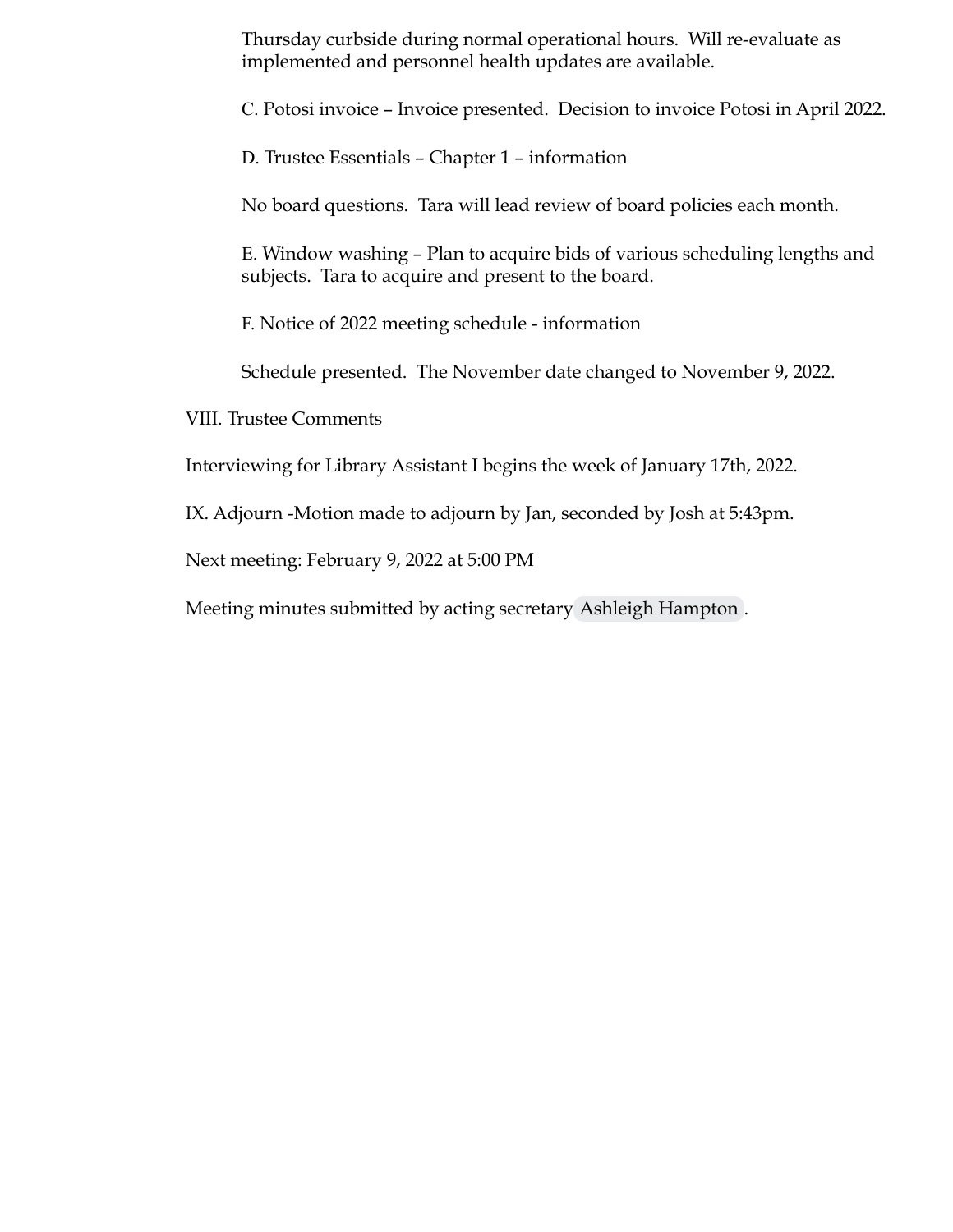Thursday curbside during normal operational hours. Will re-evaluate as implemented and personnel health updates are available.

C. Potosi invoice – Invoice presented. Decision to invoice Potosi in April 2022.

D. Trustee Essentials – Chapter 1 – information

No board questions. Tara will lead review of board policies each month.

E. Window washing – Plan to acquire bids of various scheduling lengths and subjects. Tara to acquire and present to the board.

F. Notice of 2022 meeting schedule - information

Schedule presented. The November date changed to November 9, 2022.

VIII. Trustee Comments

Interviewing for Library Assistant I begins the week of January 17th, 2022.

IX. Adjourn -Motion made to adjourn by Jan, seconded by Josh at 5:43pm.

Next meeting: February 9, 2022 at 5:00 PM

Meeting minutes submitted by acting secretary [Ashleigh Hampton](mailto:ashleighehampton@gmail.com) .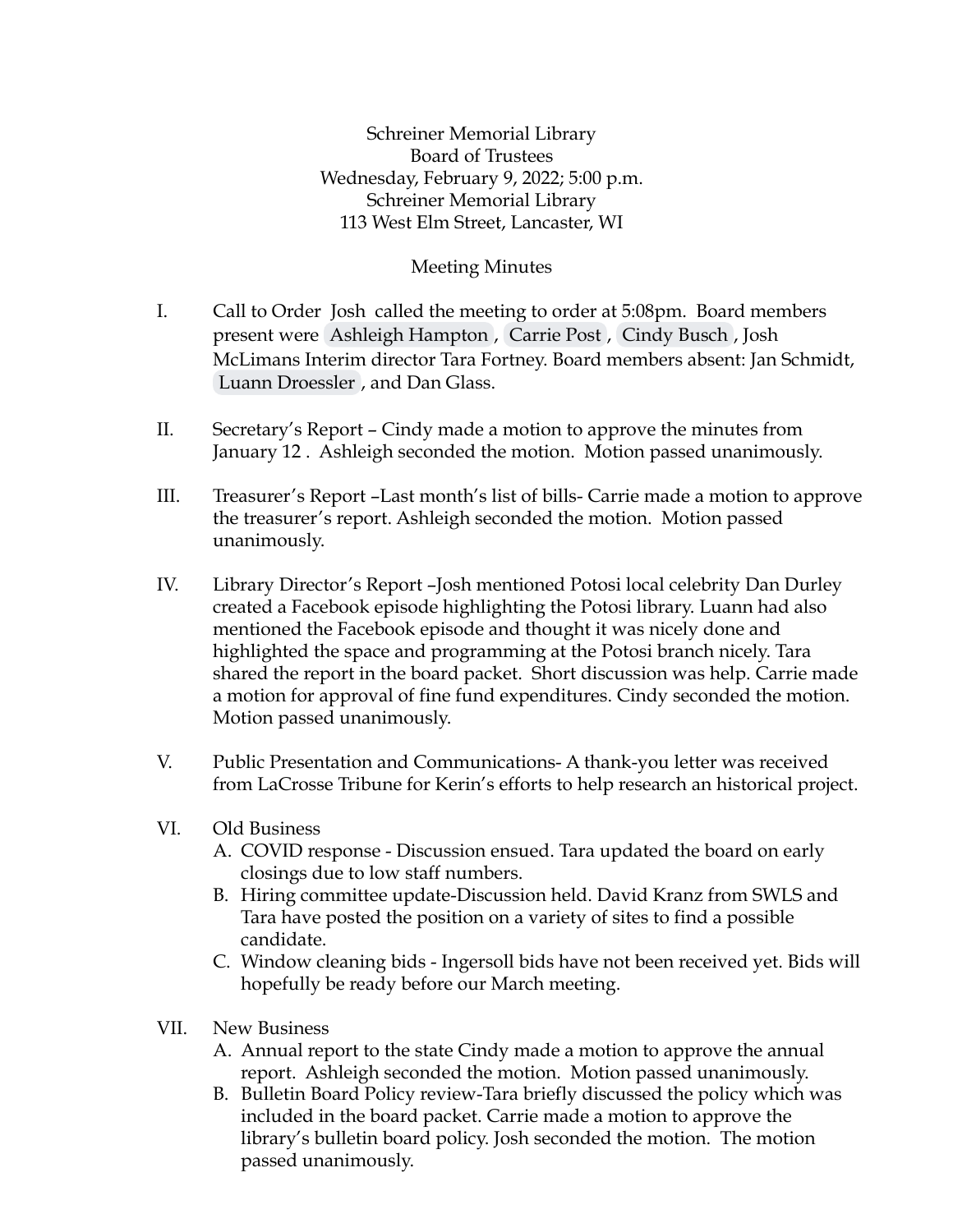Schreiner Memorial Library Board of Trustees Wednesday, February 9, 2022; 5:00 p.m. Schreiner Memorial Library 113 West Elm Street, Lancaster, WI

## Meeting Minutes

- I. Call to Order Josh called the meeting to order at 5:08pm. Board members present were [Ashleigh Hampton](mailto:ashleighehampton@gmail.com) , [Carrie Post](mailto:postc@lancastersd.k12.wi.us) , [Cindy Busch](mailto:lcbusch1@yahoo.com) , Josh McLimans Interim director Tara Fortney. Board members absent: Jan Schmidt, [Luann Droessler](mailto:jljk1423@gmail.com) , and Dan Glass.
- II. Secretary's Report Cindy made a motion to approve the minutes from January 12 . Ashleigh seconded the motion. Motion passed unanimously.
- III. Treasurer's Report –Last month's list of bills- Carrie made a motion to approve the treasurer's report. Ashleigh seconded the motion. Motion passed unanimously.
- IV. Library Director's Report –Josh mentioned Potosi local celebrity Dan Durley created a Facebook episode highlighting the Potosi library. Luann had also mentioned the Facebook episode and thought it was nicely done and highlighted the space and programming at the Potosi branch nicely. Tara shared the report in the board packet. Short discussion was help. Carrie made a motion for approval of fine fund expenditures. Cindy seconded the motion. Motion passed unanimously.
- V. Public Presentation and Communications- A thank-you letter was received from LaCrosse Tribune for Kerin's efforts to help research an historical project.
- VI. Old Business
	- A. COVID response Discussion ensued. Tara updated the board on early closings due to low staff numbers.
	- B. Hiring committee update-Discussion held. David Kranz from SWLS and Tara have posted the position on a variety of sites to find a possible candidate.
	- C. Window cleaning bids Ingersoll bids have not been received yet. Bids will hopefully be ready before our March meeting.
- VII. New Business
	- A. Annual report to the state Cindy made a motion to approve the annual report. Ashleigh seconded the motion. Motion passed unanimously.
	- B. Bulletin Board Policy review-Tara briefly discussed the policy which was included in the board packet. Carrie made a motion to approve the library's bulletin board policy. Josh seconded the motion. The motion passed unanimously.